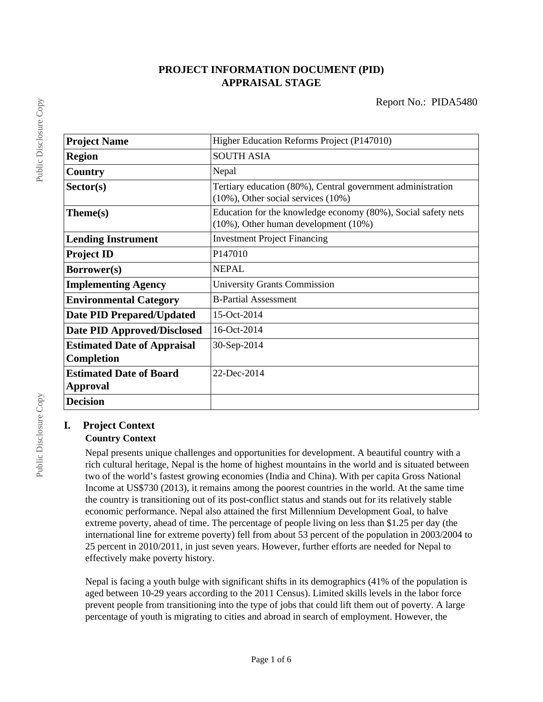# **PROJECT INFORMATION DOCUMENT (PID) APPRAISAL STAGE**

| <b>Project Name</b>                | Higher Education Reforms Project (P147010)                                                                   |
|------------------------------------|--------------------------------------------------------------------------------------------------------------|
| <b>Region</b>                      | <b>SOUTH ASIA</b>                                                                                            |
| Country                            | Nepal                                                                                                        |
| Sector(s)                          | Tertiary education (80%), Central government administration<br>$(10\%)$ , Other social services $(10\%)$     |
| Theme(s)                           | Education for the knowledge economy (80%), Social safety nets<br>$(10\%)$ , Other human development $(10\%)$ |
| <b>Lending Instrument</b>          | <b>Investment Project Financing</b>                                                                          |
| <b>Project ID</b>                  | P147010                                                                                                      |
| <b>Borrower(s)</b>                 | <b>NEPAL</b>                                                                                                 |
| <b>Implementing Agency</b>         | <b>University Grants Commission</b>                                                                          |
| <b>Environmental Category</b>      | <b>B-Partial Assessment</b>                                                                                  |
| Date PID Prepared/Updated          | 15-Oct-2014                                                                                                  |
| Date PID Approved/Disclosed        | 16-Oct-2014                                                                                                  |
| <b>Estimated Date of Appraisal</b> | 30-Sep-2014                                                                                                  |
| Completion                         |                                                                                                              |
| <b>Estimated Date of Board</b>     | 22-Dec-2014                                                                                                  |
| Approval                           |                                                                                                              |
| <b>Decision</b>                    |                                                                                                              |

# **I. Project Context**

# **Country Context**

Nepal presents unique challenges and opportunities for development. A beautiful country with a rich cultural heritage, Nepal is the home of highest mountains in the world and is situated between two of the world's fastest growing economies (India and China). With per capita Gross National Income at US\$730 (2013), it remains among the poorest countries in the world. At the same time the country is transitioning out of its post-conflict status and stands out for its relatively stable economic performance. Nepal also attained the first Millennium Development Goal, to halve extreme poverty, ahead of time. The percentage of people living on less than \$1.25 per day (the international line for extreme poverty) fell from about 53 percent of the population in 2003/2004 to 25 percent in 2010/2011, in just seven years. However, further efforts are needed for Nepal to effectively make poverty history.

Nepal is facing a youth bulge with significant shifts in its demographics (41% of the population is aged between 10-29 years according to the 2011 Census). Limited skills levels in the labor force prevent people from transitioning into the type of jobs that could lift them out of poverty. A large percentage of youth is migrating to cities and abroad in search of employment. However, the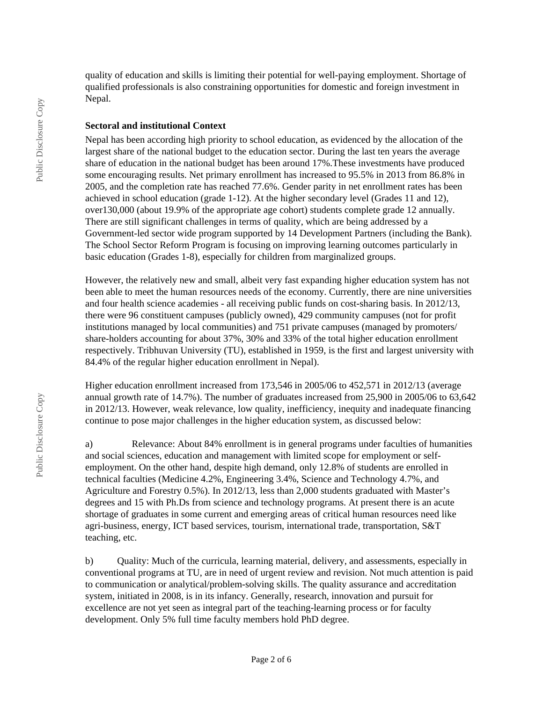quality of education and skills is limiting their potential for well-paying employment. Shortage of qualified professionals is also constraining opportunities for domestic and foreign investment in Nepal.

#### **Sectoral and institutional Context**

Nepal has been according high priority to school education, as evidenced by the allocation of the largest share of the national budget to the education sector. During the last ten years the average share of education in the national budget has been around 17%.These investments have produced some encouraging results. Net primary enrollment has increased to 95.5% in 2013 from 86.8% in 2005, and the completion rate has reached 77.6%. Gender parity in net enrollment rates has been achieved in school education (grade 1-12). At the higher secondary level (Grades 11 and 12), over130,000 (about 19.9% of the appropriate age cohort) students complete grade 12 annually. There are still significant challenges in terms of quality, which are being addressed by a Government-led sector wide program supported by 14 Development Partners (including the Bank). The School Sector Reform Program is focusing on improving learning outcomes particularly in basic education (Grades 1-8), especially for children from marginalized groups.

However, the relatively new and small, albeit very fast expanding higher education system has not been able to meet the human resources needs of the economy. Currently, there are nine universities and four health science academies - all receiving public funds on cost-sharing basis. In 2012/13, there were 96 constituent campuses (publicly owned), 429 community campuses (not for profit institutions managed by local communities) and 751 private campuses (managed by promoters/ share-holders accounting for about 37%, 30% and 33% of the total higher education enrollment respectively. Tribhuvan University (TU), established in 1959, is the first and largest university with 84.4% of the regular higher education enrollment in Nepal).

Higher education enrollment increased from 173,546 in 2005/06 to 452,571 in 2012/13 (average annual growth rate of 14.7%). The number of graduates increased from 25,900 in 2005/06 to 63,642 in 2012/13. However, weak relevance, low quality, inefficiency, inequity and inadequate financing continue to pose major challenges in the higher education system, as discussed below:

a) Relevance: About 84% enrollment is in general programs under faculties of humanities and social sciences, education and management with limited scope for employment or selfemployment. On the other hand, despite high demand, only 12.8% of students are enrolled in technical faculties (Medicine 4.2%, Engineering 3.4%, Science and Technology 4.7%, and Agriculture and Forestry 0.5%). In 2012/13, less than 2,000 students graduated with Master's degrees and 15 with Ph.Ds from science and technology programs. At present there is an acute shortage of graduates in some current and emerging areas of critical human resources need like agri-business, energy, ICT based services, tourism, international trade, transportation, S&T teaching, etc.

b) Quality: Much of the curricula, learning material, delivery, and assessments, especially in conventional programs at TU, are in need of urgent review and revision. Not much attention is paid to communication or analytical/problem-solving skills. The quality assurance and accreditation system, initiated in 2008, is in its infancy. Generally, research, innovation and pursuit for excellence are not yet seen as integral part of the teaching-learning process or for faculty development. Only 5% full time faculty members hold PhD degree.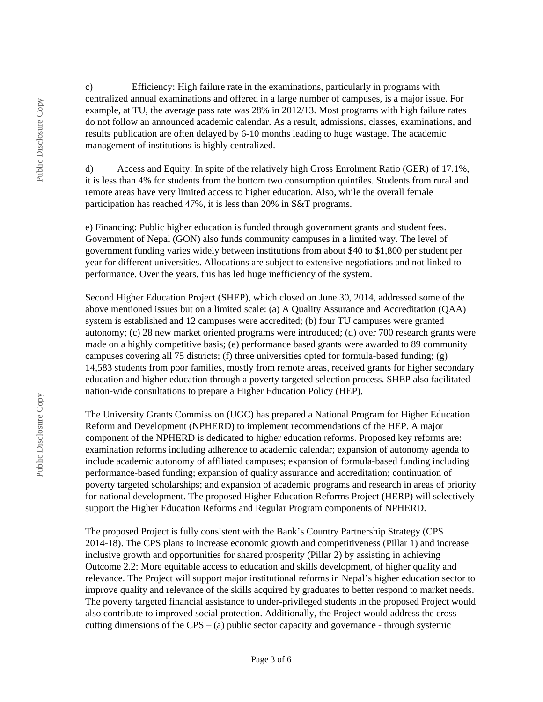c) Efficiency: High failure rate in the examinations, particularly in programs with centralized annual examinations and offered in a large number of campuses, is a major issue. For example, at TU, the average pass rate was 28% in 2012/13. Most programs with high failure rates do not follow an announced academic calendar. As a result, admissions, classes, examinations, and results publication are often delayed by 6-10 months leading to huge wastage. The academic management of institutions is highly centralized.

d) Access and Equity: In spite of the relatively high Gross Enrolment Ratio (GER) of 17.1%, it is less than 4% for students from the bottom two consumption quintiles. Students from rural and remote areas have very limited access to higher education. Also, while the overall female participation has reached 47%, it is less than 20% in S&T programs.

e) Financing: Public higher education is funded through government grants and student fees. Government of Nepal (GON) also funds community campuses in a limited way. The level of government funding varies widely between institutions from about \$40 to \$1,800 per student per year for different universities. Allocations are subject to extensive negotiations and not linked to performance. Over the years, this has led huge inefficiency of the system.

Second Higher Education Project (SHEP), which closed on June 30, 2014, addressed some of the above mentioned issues but on a limited scale: (a) A Quality Assurance and Accreditation (QAA) system is established and 12 campuses were accredited; (b) four TU campuses were granted autonomy; (c) 28 new market oriented programs were introduced; (d) over 700 research grants were made on a highly competitive basis; (e) performance based grants were awarded to 89 community campuses covering all 75 districts; (f) three universities opted for formula-based funding; (g) 14,583 students from poor families, mostly from remote areas, received grants for higher secondary education and higher education through a poverty targeted selection process. SHEP also facilitated nation-wide consultations to prepare a Higher Education Policy (HEP).

The University Grants Commission (UGC) has prepared a National Program for Higher Education Reform and Development (NPHERD) to implement recommendations of the HEP. A major component of the NPHERD is dedicated to higher education reforms. Proposed key reforms are: examination reforms including adherence to academic calendar; expansion of autonomy agenda to include academic autonomy of affiliated campuses; expansion of formula-based funding including performance-based funding; expansion of quality assurance and accreditation; continuation of poverty targeted scholarships; and expansion of academic programs and research in areas of priority for national development. The proposed Higher Education Reforms Project (HERP) will selectively support the Higher Education Reforms and Regular Program components of NPHERD.

The proposed Project is fully consistent with the Bank's Country Partnership Strategy (CPS 2014-18). The CPS plans to increase economic growth and competitiveness (Pillar 1) and increase inclusive growth and opportunities for shared prosperity (Pillar 2) by assisting in achieving Outcome 2.2: More equitable access to education and skills development, of higher quality and relevance. The Project will support major institutional reforms in Nepal's higher education sector to improve quality and relevance of the skills acquired by graduates to better respond to market needs. The poverty targeted financial assistance to under-privileged students in the proposed Project would also contribute to improved social protection. Additionally, the Project would address the crosscutting dimensions of the  $CPS - (a)$  public sector capacity and governance - through systemic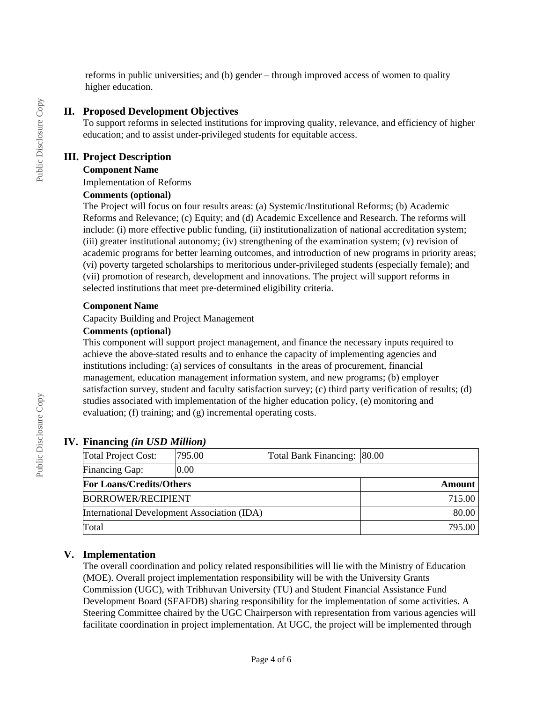reforms in public universities; and (b) gender – through improved access of women to quality higher education.

### **II. Proposed Development Objectives**

To support reforms in selected institutions for improving quality, relevance, and efficiency of higher education; and to assist under-privileged students for equitable access.

### **III. Project Description**

### **Component Name**

Implementation of Reforms

### **Comments (optional)**

The Project will focus on four results areas: (a) Systemic/Institutional Reforms; (b) Academic Reforms and Relevance; (c) Equity; and (d) Academic Excellence and Research. The reforms will include: (i) more effective public funding, (ii) institutionalization of national accreditation system; (iii) greater institutional autonomy; (iv) strengthening of the examination system; (v) revision of academic programs for better learning outcomes, and introduction of new programs in priority areas; (vi) poverty targeted scholarships to meritorious under-privileged students (especially female); and (vii) promotion of research, development and innovations. The project will support reforms in selected institutions that meet pre-determined eligibility criteria.

### **Component Name**

Capacity Building and Project Management

### **Comments (optional)**

This component will support project management, and finance the necessary inputs required to achieve the above-stated results and to enhance the capacity of implementing agencies and institutions including: (a) services of consultants in the areas of procurement, financial management, education management information system, and new programs; (b) employer satisfaction survey, student and faculty satisfaction survey; (c) third party verification of results; (d) studies associated with implementation of the higher education policy, (e) monitoring and evaluation; (f) training; and (g) incremental operating costs.

# **IV. Financing** *(in USD Million)*

| <b>Total Project Cost:</b>                  | 795.00 | Total Bank Financing: 80.00 |  |
|---------------------------------------------|--------|-----------------------------|--|
| Financing Gap:                              | 0.00   |                             |  |
| <b>For Loans/Credits/Others</b>             |        | Amount                      |  |
| <b>BORROWER/RECIPIENT</b>                   |        | 715.00                      |  |
| International Development Association (IDA) |        | 80.00                       |  |
| Total                                       |        | 795.00                      |  |

# **V. Implementation**

The overall coordination and policy related responsibilities will lie with the Ministry of Education (MOE). Overall project implementation responsibility will be with the University Grants Commission (UGC), with Tribhuvan University (TU) and Student Financial Assistance Fund Development Board (SFAFDB) sharing responsibility for the implementation of some activities. A Steering Committee chaired by the UGC Chairperson with representation from various agencies will facilitate coordination in project implementation. At UGC, the project will be implemented through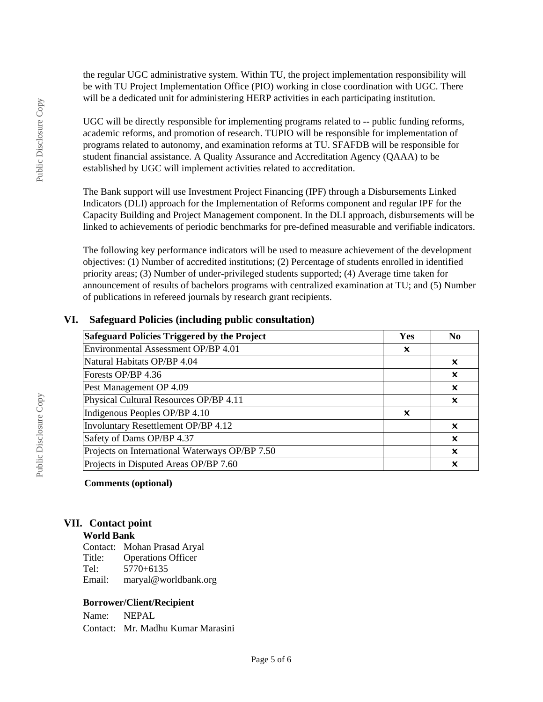the regular UGC administrative system. Within TU, the project implementation responsibility will be with TU Project Implementation Office (PIO) working in close coordination with UGC. There will be a dedicated unit for administering HERP activities in each participating institution.

UGC will be directly responsible for implementing programs related to -- public funding reforms, academic reforms, and promotion of research. TUPIO will be responsible for implementation of programs related to autonomy, and examination reforms at TU. SFAFDB will be responsible for student financial assistance. A Quality Assurance and Accreditation Agency (QAAA) to be established by UGC will implement activities related to accreditation.

The Bank support will use Investment Project Financing (IPF) through a Disbursements Linked Indicators (DLI) approach for the Implementation of Reforms component and regular IPF for the Capacity Building and Project Management component. In the DLI approach, disbursements will be linked to achievements of periodic benchmarks for pre-defined measurable and verifiable indicators.

The following key performance indicators will be used to measure achievement of the development objectives: (1) Number of accredited institutions; (2) Percentage of students enrolled in identified priority areas; (3) Number of under-privileged students supported; (4) Average time taken for announcement of results of bachelors programs with centralized examination at TU; and (5) Number of publications in refereed journals by research grant recipients.

### **VI. Safeguard Policies (including public consultation)**

| Safeguard Policies Triggered by the Project    |   | N <sub>0</sub>            |
|------------------------------------------------|---|---------------------------|
| Environmental Assessment OP/BP 4.01            | x |                           |
| Natural Habitats OP/BP 4.04                    |   | x                         |
| Forests OP/BP 4.36                             |   | $\boldsymbol{\mathsf{x}}$ |
| Pest Management OP 4.09                        |   | $\boldsymbol{\mathsf{x}}$ |
| Physical Cultural Resources OP/BP 4.11         |   | x                         |
| Indigenous Peoples OP/BP 4.10                  | × |                           |
| Involuntary Resettlement OP/BP 4.12            |   | x                         |
| Safety of Dams OP/BP 4.37                      |   | $\boldsymbol{\mathsf{x}}$ |
| Projects on International Waterways OP/BP 7.50 |   | x                         |
| Projects in Disputed Areas OP/BP 7.60          |   | x                         |

#### **Comments (optional)**

#### **VII. Contact point**

#### **World Bank**

Contact: Mohan Prasad Aryal Title: Operations Officer Tel: 5770+6135 Email: maryal@worldbank.org

#### **Borrower/Client/Recipient**

Name: NEPAL Contact: Mr. Madhu Kumar Marasini